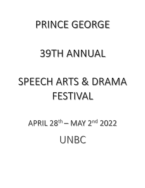# PRINCE GEORGE

# **39TH ANNUAL**

# SPEECH ARTS & DRAMA FESTIVAL

# APRIL  $28^{th} -$  MAY  $2^{nd}$  2022 UNBC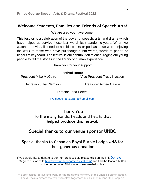## **Welcome Students, Families and Friends of Speech Arts!**

We are glad you have come!

This festival is a celebration of the power of speech, arts, and drama which have helped us survive these last two difficult pandemic years. When we watched movies, listened to audible books or podcasts, we were enjoying the work of those who have put thoughts into words, words to paper, or fingers to keyboard. The festival is our contribution to encouraging our young people to tell the stories in the library of human experience.

Thank you for your support.

#### **Festival Board:**

President Mike McGuire **Vice President Trudy Klassen** 

Secretary Julia Clemson Treasurer Aimee Cassie

Director Jana Peters

[PG.speech.arts.drama@gmail.com](mailto:PG.speech.arts.drama@gmail.com)

Thank You

To the many hands, heads and hearts that helped produce this festival.

# Special thanks to our venue sponsor UNBC

# Special thanks to Canadian Royal Purple Lodge #48 for their generous donation

If you would like to donate to our non-profit society please click on the link [Donate](https://www.canadahelps.org/en/charities/prince-george-speech-arts-and-drama-festival-society/) Or go to our website<http://www.princegeorgefestival.com/> and find the Donate button on the home page. All donations are tax-deductible.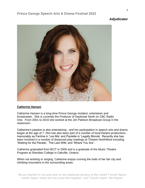### **Adjudicator**



#### **Catherine Hansen**

Catherine Hansen is a long-time Prince George resident, entertainer and broadcaster. She is currently the Producer of Daybreak North on CBC Radio One. From 2001 to 2019 she worked at the Jim Pattison Broadcast Group in the newsroom.

Catherine's passion is also entertaining - and her participation in speech arts and drama began at the age of 7. She has also been part of a number of local theatre productions memorably as Fantine in 'Les Mis' and Paulette in 'Legally Blonde'. Recently she has been involved in a number of distanced play readings at Theatre NorthWest including 'Waiting for the Parade', 'The Last Wife' and 'Where You Are'.

Catherine graduated from BCIT in 2000 and is a graduate of the Music Theatre Program at Sheridan College in Oakville, Ontario.

When not working or singing, Catherine enjoys running the trails of her fair city and climbing mountains in the surrounding areas.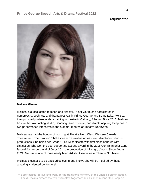#### **Adjudicator**



#### **Melissa Glover**

Melissa is a local actor, teacher, and director. In her youth, she participated in numerous speech arts and drama festivals in Prince George and Burns Lake. Melissa then pursued post-secondary training in theatre in Calgary, Alberta. Since 2013, Melissa has run her own acting studio, Shooting Stars Theatre, and directs aspiring thespians in two performance intensives in the summer months at Theatre NorthWest.

Melissa has had the honour of working at Theatre NorthWest, Western Canada Theatre, and The Stratford Shakespeare Festival as an assistant director on various productions. She holds her Grade 10 RCM certificate with first-class honours with distinction. She won the best supporting actress award in the 2018 Central Interior Zone festival for her portrayal of Juror 10 in the production of *12 Angry Jurors.* Since August 2021, Melissa is one of three newly hired Artistic Associates at Theatre NorthWest.

Melissa is ecstatic to be back adjudicating and knows she will be inspired by these amazingly talented performers!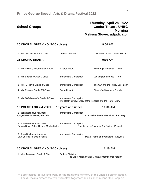| <b>School Groups</b>                                                  |                              | Thursday, April 28, 2022<br><b>Canfor Theatre UNBC</b><br>Morning |
|-----------------------------------------------------------------------|------------------------------|-------------------------------------------------------------------|
|                                                                       |                              | Melissa Glover, adjudicator                                       |
| 20 CHORAL SPEAKING (4-30 voices)                                      |                              | 9:00 AM                                                           |
| 1 Mrs. Fisher's Grade 3 Class                                         | <b>Cedars Christian</b>      | A Mosquito in the Cabin - Stilborn                                |
| <b>21 CHORIC DRAMA</b>                                                |                              | 9:30 AM                                                           |
| 1 Ms. Power's Kindergarten Class                                      | <b>Sacred Heart</b>          | The King's Breakfast - Milne                                      |
| 2 Ms. Becker's Grade 1 Class                                          | Immaculate Conception        | Looking for a Moose - Root                                        |
| 3 Mrs. Gilbert's Grade 3 Class                                        | <b>Immaculate Conception</b> | The Owl and the Pussy Cat - Lear                                  |
| 4 Ms. Royan's Grade 5/6 Class                                         | Sacred Heart                 | Diary of A Wombat - French                                        |
| 5 Ms. O'Callaghan's Grade 5 Class                                     | Immaculate Conception        | The Really Groovy Story of the Tortoise and the Hare - Crow       |
| 19 POEMS FOR 2-4 VOICES, 10 years and under                           |                              | 11:00 AM                                                          |
| 1 Joan Nachbaur (teacher),<br>Kyngstin Barth, Michayla Brkich         | Immaculate Conception        | Our Mother Made a Meatloaf - Prelutsky                            |
| 2 Joan Nachbaur (teacher),<br>Declan Boyd, Asher Hogue, Maelie McLeod | Immaculate Conception        | I Should Have Stayed in Bed Today - Prelutsky                     |
| 3 Joan Nachbaur (teacher),<br>Carolyn Padilla, Dacia Padilla          | Immaculate Conception        | Pizza Theme and Variations - Lesynski                             |
| 20 CHORAL SPEAKING (4-30 voices)                                      |                              | 11:15 AM                                                          |
|                                                                       |                              |                                                                   |

1 Mrs. Toninato's Grade 5 Class Cedars Christian The Bible, Matthew 6:19-33 New International Version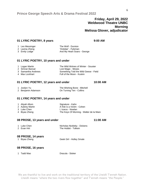### **Friday, April 29, 2022 Weldwood Theatre UNBC Morning Melissa Glover, adjudicator**

#### **01 LYRIC POETRY, 8 years 9:00 AM**

| 1 Leo Messinger | The Wolf - Durston          |
|-----------------|-----------------------------|
| 2 Lavina Zheng  | 'October' - Fyleman         |
| 3 Emily Lodge   | And My Heart Soars - George |

#### **01 LYRIC POETRY, 10 years and under**

| 1 Logan Martin     | The Wild Wolves of Winter - Souster   |
|--------------------|---------------------------------------|
| 2 Simran Bansal    | Lost Magic - Moses                    |
| 3 Samantha Andrews | Something Told the Wild Geese - Field |
| 4 Max Lockhart     | Full of the Moon - Kuskin             |

#### **01 LYRIC POETRY, 12 years and under 10:00 AM**

| 1 Josilyn Yu       | The Wishing Bone - Mitchell |
|--------------------|-----------------------------|
| 2 Benjamin Adamson | On Turning Ten - Collins    |

#### **01 LYRIC POETRY, 14 years and under**

| 1 Aliyah Allum  | Signature - Kahn                        |
|-----------------|-----------------------------------------|
| 2 Aubrey Martin | A Kite is a Victim - Cohen              |
| 3 Luke Chen     | I, Icarus - Nowlan                      |
| 4 Biyao Zheng   | The Keys Of Morning - Walter de la Mare |

#### **08 PROSE, 13 years and under 11:00 AM**

| 1 Luke Chen | Nicholas Nickleby - Dickens |
|-------------|-----------------------------|
| 2 Evan Hirt | The Hobbit - Tolkein        |

#### **08 PROSE, 14 years**

1 Biyao Zheng Geek Girl - Holley Smale

#### **08 PROSE, 16 years**

1 Tadd Mao **Dracula - Stoker**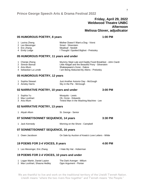### **Friday, April 29, 2022 Weldwood Theatre UNBC Afternoon Melissa Glover, adjudicator**

#### **05 HUMOROUS POETRY, 8 years 1:00 PM**

1 Lavina Zheng Mother Doesn't Want a Dog - Viorst 2 Leo Messinger Smart - Silverstein 3 Eric Zhang Meatloaf - Nesbitt 4 Emily Lodge **I Thought I Spotted Bigfoot - Prelutsky** 

#### **05 HUMOROUS POETRY, 11 years and under**

| 1 Chenjie Zheng      | Mummy Slept Late and Daddy Fixed Breakfast - John Ciardi |
|----------------------|----------------------------------------------------------|
| 2 Simran Bansal      | Little Abigail and the Beautiful Pony - Silverstein      |
| 3 Aria Allum         | Shakespeare's Gone - Dakos                               |
| 4 Sebastian La Londe | I am Being Abducted By Aliens - Prelutsky                |

#### **05 HUMOROUS POETRY, 12 years**

| 1 Sophia Stewart | Just Another Autumn Day - McGough |
|------------------|-----------------------------------|
| 2 Ainsley Harris | Sky in the Pie - McGough          |

#### **02 NARRATIVE POETRY, 10 years and under 3:00 PM**

| 1 Sophia Yu    | Mosquito - Lewis                         |
|----------------|------------------------------------------|
| 2 Max Lockhart | Oh. Ozzie - Edwards                      |
| 3 Aria Allum   | Tiniest Man in the Washing Machine - Lee |

#### **02 NARRATIVE POETRY, 13 years**

1 Aliyah Allum St. George - Senior

#### **07 SONNET/SONNET SEQUENCE, 14 years 3:30 PM**

1 Jack Kennedy **Morning on the Shore - Campbell** 

#### **07 SONNET/SONNET SEQUENCE, 16 years**

1 Owen Jacobson On Sale by Auction of Keats's Love Letters - Wilde

#### **19 POEMS FOR 2-4 VOICES, 8 years 4:00 PM**

1 Leo Messinger, Eric Zhang I Hate My Hat - Hoberman

#### **19 POEMS FOR 2-4 VOICES, 10 years and under**

| 1 Logan Martin, Daniel Layton | The Dark Avenger - Millum |
|-------------------------------|---------------------------|
| 2 Max Lockhart, Shauna Hedley | Ogre Argument - Florian   |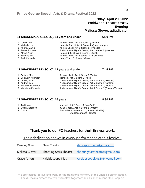| 1 Luke Chen<br>2 Michelle Luo<br>3 Aubrey Martin<br>4 Renee Rondeau<br>5 Aliyah Allum<br>6 Zachary Hirt | As You Like It, Act 1, Scene 1 (Orlando)<br>Henry IV Part III, Act 1 Scene 4 (Queen Margaret)<br>As You Like It, Act 3, Scene 5, (Phoebe)<br>A Midsummer Night's Dream, Act 2, scene 2, (Helena)<br>Romeo & Juliet, Act 2 Scene 5 (Juliet)<br>As You Like It, Act 5 Scene 1 (Touchstone) |
|---------------------------------------------------------------------------------------------------------|------------------------------------------------------------------------------------------------------------------------------------------------------------------------------------------------------------------------------------------------------------------------------------------|
| 7 Jack Kennedy                                                                                          | Henry V, Act 3, Scene 2 (Boy)                                                                                                                                                                                                                                                            |

#### **11 SHAKESPEARE (SOLO), 12 years and under 7:45 PM**

| 1 Belinda Mou      | As You Like It, Act 1, Scene 3 (Celia)                      |
|--------------------|-------------------------------------------------------------|
| 2 Benjamin Adamson | Tempest, Act 5, Scene 1 (Ariel)                             |
| 3 Ainsley Harris   | A Midsummer Night's Dream, Act 3, Scene 2, (Hermia)         |
| 4 Andrew Lee       | A Midsummer Night's Dream, Act 5, Scene 1 (Bottom)          |
| 5 Meadow Sladeczek | A Midsummer Night's Dream, Act 3, Scene 2, (Helena)         |
| 6 Maddison Kennedy | A Midsummer Night's Dream, Act 5, Scene 1 (Flute as Thisbe) |

#### **11 SHAKESPEARE (SOLO), 16 years 8:30 PM**

- 
- 
- 

1 Tadd Mao Macbeth, Act 2, Scene 1 (MacBeth) 2 Owen Jacobson Julius Caesar, Act 3, Scene 1 (Antony) 3 Grace Li Two Noble Kinsmen, Act 4, Scene 1 (Emilia) - Shakespeare and Fletcher

# Thank you to our PG teachers for their tireless work.

## Their dedication shows in every performance at this festival.

| Caroljoy Green | Shine Theatre                 | shinespeecharts@gmail.com      |
|----------------|-------------------------------|--------------------------------|
| Melissa Glover | <b>Shooting Stars Theatre</b> | shootingstarstheatre@gmail.com |
| Grace Arnott   | Kaleidoscope Kids             | kaleidoscopekids2014@gmail.com |

We are thankful to live and work on the traditional territory of the Lheidli T'enneh Nation. Lheidli means "where the two rivers flow together" and T'enneh means "the People."

## **Friday, April 29, 2022 Weldwood Theatre UNBC Evening Melissa Glover, adjudicator**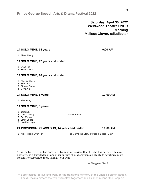**Saturday, April 30, 2022 Weldwood Theatre UNBC Morning Melissa Glover, adjudicator**

1 Mira Yang

1 Chenjie Zheng 2 Sophia Yu 3 Simran Bansal 4 Olivia Yu

1 Biyao Zheng

2 Evan Hirt 3 Belinda Mou

#### **14 SOLO MIME, 8 years**

- 1 Jordan Li
- 2 Lavina Zheng Snack Attack
- 3 Eric Zhang
- 4 Emily Lodge
- 5 Leo Messinger

#### **24 PROVINCIAL CLASS DUO, 14 years and under 11:00 AM**

**14 SOLO MIME, 6 years 10:00 AM**

1 Nick Hilland, Evan Hirt The Marvelous Story of Puss in Boots - Gray

"…as the traveler who has once been from home is wiser than he who has never left his own doorstep, so a knowledge of one other culture should sharpen our ability to scrutinize more steadily, to appreciate more lovingly, our own."

― Margaret Mead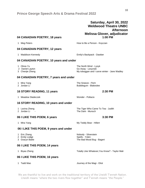## **Saturday, April 30, 2022 Weldwood Theatre UNBC Afternoon Melissa Glover, adjudicator**

#### **04 CANADIAN POETRY, 18 years 1:00 PM**

#### 1 Meg Peters **How to Be a Person - Koyczan**

#### **04 CANADIAN POETRY, 12 years**

#### 1 Maddison Kennedy Emily's Backpack - Dawber

#### **04 CANADIAN POETRY, 10 years and under**

- 1 Olivia Yu The North Wind Lysyk
- 2 Daniel Layton Go Away Lesynski
- 3 Chenjie Zheng My toboggan and I carve winter Jane Wadley

# **04 CANADIAN POETRY, 7 years and under**

- 1 Mira Yang The Sneeze Fitch
- 2 Jordan Li **Bubblegum Blakeslee**

#### **16 STORY READING, 11 years 2:30 PM**

1 Meadow Sladeczek Wonder - Pollacio

#### **16 STORY READING, 10 years and under**

- 1 Lavina Zheng The Tiger Who Came To Tea Judith
- 2 Jordan Li The Dark Munsch

#### **06 I LIKE THIS POEM, 6 years 3:30 PM**

1 Mira Yang My Teddy Bear - Hillert

#### **06 I LIKE THIS POEM, 9 years and under**

- 1 Eric Zhang Nobody Silverstein
- 2 Emily Lodge Spells Yolen
- 3 Gracyn Bailie The Bad Mood Bug Bagert

#### **06 I LIKE THIS POEM, 14 years**

1 Biyao Zheng Totally Like Whatever, You Know? - Taylor Mali

#### **06 I LIKE THIS POEM, 16 years**

1 Tadd Mao Journey of the Magi - Eliot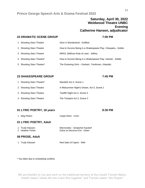#### **Prince George Speech Arts & Drama Festival 2022**

## **Saturday, April 30, 2022 Weldwood Theatre UNBC Evening Catherine Hansen, adjudicator**

#### **22 DRAMATIC SCENE GROUP 7:00 PM**

# 1 Shooting Stars Theatre **Alice in Wonderland - Duffiled** 2 Shooting Stars Theatre **How to Survive Being in a Shakespeare Play -Cleopatra - Zolidis** 3 Shooting Stars Theatre WROL (Without Rule of Law) - Jeffrey 4 Shooting Stars Theatre\* How to Survive Being in a Shakespeare Play -Hamlet - Zolidis 5 Shooting Stars Theatre\* The Drowning Girls – Graham, Tomlinson, Vlaskalic

#### **23 SHAKESPEARE GROUP 7:45 PM**

| 1 Shooting Stars Theatre* | Macbeth Act 4, Scene 1                    |
|---------------------------|-------------------------------------------|
| 2 Shooting Stars Theatre  | A Midsummer Night's Dream, Act 5, Scene 1 |
| 3 Shooting Stars Theatre  | Twelfth Night Act 2, Scene 5              |
| 4 Shooting Stars Theatre  | The Tempest Act 3, Scene 2                |

#### **01 LYRIC POETRY, 18 years 8:30 PM**

1 Meg Peters **Carpe Diem - Conn** 

#### **01 LYRIC POETRY, Adult**

| 1 Trudy Klassen  | Mennonites - Schpicher-Kazdorf |
|------------------|--------------------------------|
| 2 Heather Fisher | Dulce et Decorum Est - Owen    |

#### **08 PROSE, Adult**

1 Trudy Klassen Red Sails of Capris - Weil

\* Via video due to scheduling conflicts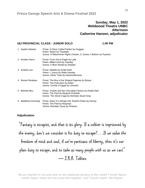#### **Sunday, May 1, 2022 Weldwood Theatre UNBC Afternoon Catherine Hansen, adjudicator**

#### **18J PROVINCIAL CLASS - JUNIOR SOLO 1:00 PM**

|   | Sophia Stewart   | Prose: A Place Called Perfect by Duggan<br>Poem: Barter by Teasdale<br>Scene: A Midsummer Night's Dream, 5, Scene 1 Bottom as Pyramis           |
|---|------------------|-------------------------------------------------------------------------------------------------------------------------------------------------|
|   | 2 Ainsley Harris | Prose: From Ant to Eagle by Lytle<br>Poem: Miller's End by Causley<br>Scene: A Blue Streak by Sweden                                            |
| 3 | Andrew Lee       | Prose: Matilda by Roald Dahl<br>Poem: I, Icarus by Alden Nowlan<br>Scene: Oliver Twist by Dickens/Browne                                        |
|   | 4 Renee Rondeau  | Prose: The Boy in the Striped Pajamas by Boyne<br>Poem: The Execution by Nolan<br>Scene: Connie in Egypt by Lemoine                             |
| 5 | Belinda Mou      | Prose: Charlie and the Chocolate Factory by Roald Dahl<br>Poem: The Pool by Marjorie Pickthall<br>Scene: The Stone Cage by Nicholas Stuart Gray |
| 6 | Maddison Kennedy | Prose: Diary of a Wimpy Kid: Rodrick Rules by Kinney<br>Poem: The Feet by Wayman<br>Scene: Reindeer Soup by Pintauro                            |

## **Adjudication**

"Fantasy is escapist, and that is its glory. If a soldier is imprisoned by the enemy, don't we consider it his duty to escape?. . .If we value the freedom of mind and soul, if we're partisans of liberty, then it's our plain duty to escape, and to take as many people with us as we can!" ― J.R.R. Tolkien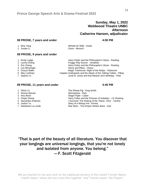### **Sunday, May 1, 2022 Weldwood Theatre UNBC Afternoon Catherine Hansen, adjudicator**

#### **08 PROSE, 7 years and under 4:00 PM**

| 1 Mira Yang | Whistle for Willy - Keats |
|-------------|---------------------------|
| 2 Jordan Li | Zoom - Munsch             |

#### **08 PROSE, 9 years and under**

| 1 Emily Lodge   | Harry Potter and the Philosopher's Stone - Rowling                |
|-----------------|-------------------------------------------------------------------|
| 2 Lavina Zheng  | Froggy Play Soccer - Jonathan                                     |
| 3 Eric Zhang    | Harry Potter and the Philosopher's Stone - Rowling                |
| 4 Leo Messinger | Henry and Ribsy - Cleary                                          |
| 5 Gracyn Bailie | Magic Treehouse: Night of the Ninjas - Osbourne                   |
| 6 Max Lockhart  | Captain Underpants and the Attack of the Talking Toilets - Pilkey |
| 7 Sophia Yu     | Junie B. Jones and that Meanie Jim's Birthday - Park              |

#### **08 PROSE, 11 years and under 4:45 PM**

- 
- 
- 
- 
- 
- 
- 

1 Olivia Yu The-Sheep-Pig - King-Smith Skinnybone - Park 3 Aria Allum Stage Fright - Cabot 4 Chejie Zheng **Harry Potter and the Prisoner of Azkaban - J.K Rowling** 5 Samantha Andrews I Survived: The Sinking of the Titanic, 1912 - Tarshis 6 Josilyn Yu Diary of a Wimpy Kid - Kinney Star Wars - The Empire Strikes Back - Glut

"That is part of the beauty of all literature. You discover that your longings are universal longings, that you're not lonely and isolated from anyone. You belong." ― F. Scott Fitzgerald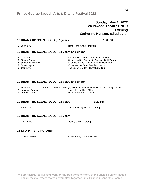#### **Sunday, May 1, 2022 Weldwood Theatre UNBC Evening Catherine Hansen, adjudicator**

#### **10 DRAMATIC SCENE (SOLO), 9 years 7:00 PM**

1 Sophia Yu **Hansel and Gretel - Masters** 

#### **10 DRAMATIC SCENE (SOLO), 11 years and under**

- 
- 
- 
- 
- 

2 Olivia Yu Snow White's Sweet Temptation - Bolton 3 Simran Bansal Charlie and the Chocolate Factory - Dahl/George 4 Samantha Andrews Charlotte's Web - White/Dram. by Robinette<br>5 Daniel Layton Charlotte's Voyage of the Dawn Treader - Lewis Voyage of the Dawn Treader - Lewis 6 Josilyn Yu The Secret Garden - Burnett/Sterling

#### **10 DRAMATIC SCENE (SOLO), 13 years and under**

- 1 Evan Hirt 'Puffs or: Seven Increasingly Eventful Years at a Certain School of Magic' Cox<br>2 Benjamin Adamson Toad of Toad Hall Milne
- 
- 

Toad of Toad Hall - Milne 3 Aubrey Martin **Number the Stars - Lowry** 

#### **10 DRAMATIC SCENE (SOLO), 16 years 8:30 PM**

1 Tadd Mao **The Actor's Nightmare - Durang** 

#### **10 DRAMATIC SCENE (SOLO), 18 years**

1 Meg Peters 'dentity Crisis - Durang

#### **16 STORY READING, Adult**

1 Caroljoy Green Extreme Vinyl Cafe - McLean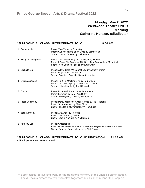### **Monday, May 2, 2022 Weldwood Theatre UNBC Morning Catherine Hansen, adjudicator**

#### **18I PROVINCIAL CLASS - INTERMEDIATE SOLO 9:00 AM**

| 1 Zachary Hirt      | Prose: Vice Versa by F. Anstey<br>Poem: Our Ancestor's Short Lives by Szmborska<br>Scene: Lost in Yonkers by Neil Simon                                        |
|---------------------|----------------------------------------------------------------------------------------------------------------------------------------------------------------|
| 2 Keziya Cunningham | Prose: The Unbecoming of Mara Dyer by Hodkin<br>Poem: I Could Not Sleep for Thinking of the Sky by John Masefield<br>Scene: Non-Bridaled Passion by Kate Shein |
| 3 Michelle Luo      | Prose: All the Light We Cannot See by Anthony Doerr<br>Poem: Dogfish by Mary Oliver<br>Scene: Connie in Egypt by Stewart Lemoine                               |
| 4 Owen Jacobson     | Prose: To Kill a Mocking Bird by Harper Lee<br>Poem: The Conscript by Wilfred Wilson Gibson<br>Scene: I Hate Hamlet by Paul Rudnick                            |
| 5 Grace Li          | Prose: Pride and Prejudice by Jane Austen<br>Poem: Eurydice by Carol Ann Duffy<br>Scene: The Fighting Days by Wendy Lills                                      |
| 6 Piper Dougherty   | Prose: Percy Jackson's Greek Heroes by Rick Riordan<br>Poem: Spring Azures by Mary Oliver<br>Scene: The Belle of Amherst by William Luce                       |
| 7 Jack Kennedy      | Prose: Ark Angel by Horowitz<br>Poem: The Crows by Drake<br>Scene: Lost in Yonkers by Neil Simon                                                               |
| 8 Anthony Lee       | Prose: Crossroads<br>Poem: How One Winter Came to the Lake Region by Wilfred Campbell<br>Scene: Brighton Beach Memoirs by Neil Simon                           |

#### **18I PROVINCIAL CLASS - INTERMEDIATE SOLO ADJUDICATION 11:15 AM** All Participants are expected to attend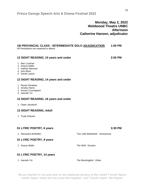### **Monday, May 2, 2022 Weldwood Theatre UNBC Afternoon Catherine Hansen, adjudicator**

### **18I PROVINCIAL CLASS - INTERMEDIATE SOLO ADJUDICATION 1:00 PM**

All Participants are expected to attend

#### **12 SIGHT READING, 10 years and under 2:00 PM**

#### 1 Max Lockhart

- 2 Gracyn Bailie
- 3 Kathryn Bauman
- 4 Aria Allum
- 5 Daniel Layton

#### **12 SIGHT READING, 14 years and under**

- 1 Renee Rondeau
- 2 Ainsley Harris
- 3 Keziya Cunningham
- 4 Hannah Yin

#### **12 SIGHT READING, 16 years and under**

1 Owen Jacobson

#### **12 SIGHT READING, Adult**

1 Trudy Klassen

#### **01 LYRIC POETRY, 6 years 3:30 PM**

1 Alexandra McMullen Two Little Blackbirds - Anonymous

#### **01 LYRIC POETRY, 9 years**

1 Gracyn Bailie **The Wolf - Durston** 

#### **01 LYRIC POETRY, 14 years**

1 Hannah Yin The Mockingbird - Oliver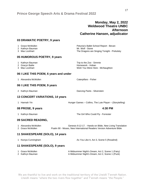### **Monday, May 2, 2022 Weldwood Theatre UNBC Afternoon Catherine Hansen, adjudicator**

## **03 DRAMATIC POETRY, 9 years**

| U3 DRAMATIC POETRY, 9 years                            |                                                                                                                                  |
|--------------------------------------------------------|----------------------------------------------------------------------------------------------------------------------------------|
| 1 Grace McMullen<br>2 Kathryn Bauman<br>3 Max Lockhart | Petunia's Ballet School Report - Bevan<br>Mr. Wolf - Stone<br>The Dragons are Singing Tonight - Prelutsky                        |
| 05 HUMOROUS POETRY, 9 years                            |                                                                                                                                  |
| 1 Kathryn Bauman<br>2 Gracyn Bailie<br>3 Max Lockhart  | Trip to the Zoo - Simmie<br>Homework - Hoban<br>Wish You Were Here - McNaughton                                                  |
| 06 I LIKE THIS POEM, 6 years and under                 |                                                                                                                                  |
| 1 Alexandra McMullen                                   | Caterpillars - Fisher                                                                                                            |
| 06 I LIKE THIS POEM, 9 years                           |                                                                                                                                  |
| 2 Kathryn Bauman                                       | Dancing Pants - Silverstein                                                                                                      |
| 13 CONCERT VARIATIONS, 14 years                        |                                                                                                                                  |
| 1 Hannah Yin                                           | Hunger Games - Collins, The Lute Player - (Storytelling)                                                                         |
| 08 PROSE, 9 years                                      | 4:30 PM                                                                                                                          |
| 1 Kathryn Bauman                                       | The Girl Who Could Fly - Forrester                                                                                               |
| 09 SACRED READING,                                     |                                                                                                                                  |
| 1 Alexandra McMullen<br>2 Grace McMullen               | Genesis 9:12-17. - Hands-on Bible, New Living Translation<br>Psalm 90 - Moses, New International Readers Version Adventure Bible |
| 11 SHAKESPEARE (SOLO), 14 years                        |                                                                                                                                  |
| 1 Keziya Cunningham                                    | As You Like It, Act 3, Scene 5 (Rosalind)                                                                                        |
| 11 SHAKESPEARE (SOLO), 9 years                         |                                                                                                                                  |
| 1 Grace McMullen<br>2 Kathryn Bauman                   | A Midsummer Night's Dream, Act 2, Scene 1 (Fairy)<br>A Midsummer Night's Dream, Act 2, Scene 1 (Puck)                            |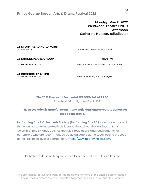**Prince George Speech Arts & Drama Festival 2022** 

## **Monday, May 2, 2022 Weldwood Theatre UNBC Afternoon Catherine Hansen, adjudicator**

# **16 STORY READING, 14 years**

I Am Malala - Yousafzai/McCormick

#### **23 SHAKESPEARE GROUP 5:00 PM**

1 SHINE! Scenes Class The Tempest, Act III, Scene 3 - Shakespeare

#### **26 READERS THEATRE**

1 SHINE! Scenes Class The One and Only Ivan - Applegate

#### **The 2022 Provincial Festival of PERFORMING ARTS BC**

will be held, Virtually June  $5 - 9$ , 2022.

## **The Association is grateful to our many individual and corporate donors for their sponsorship.**

**Performing Arts B.C. Festivals Society (Performing Arts BC)** is an organization of thirty-four local Member-Festivals located throughout the Province of British Columbia. This Syllabus outlines the rules, regulations and requirements for performers who are recommended by adjudicators at the Local level to proceed to the Provincial level of competition.<https://www.bcprovincials.com/>

"It's better to do something badly than to not do it at all." – Jordan Peterson